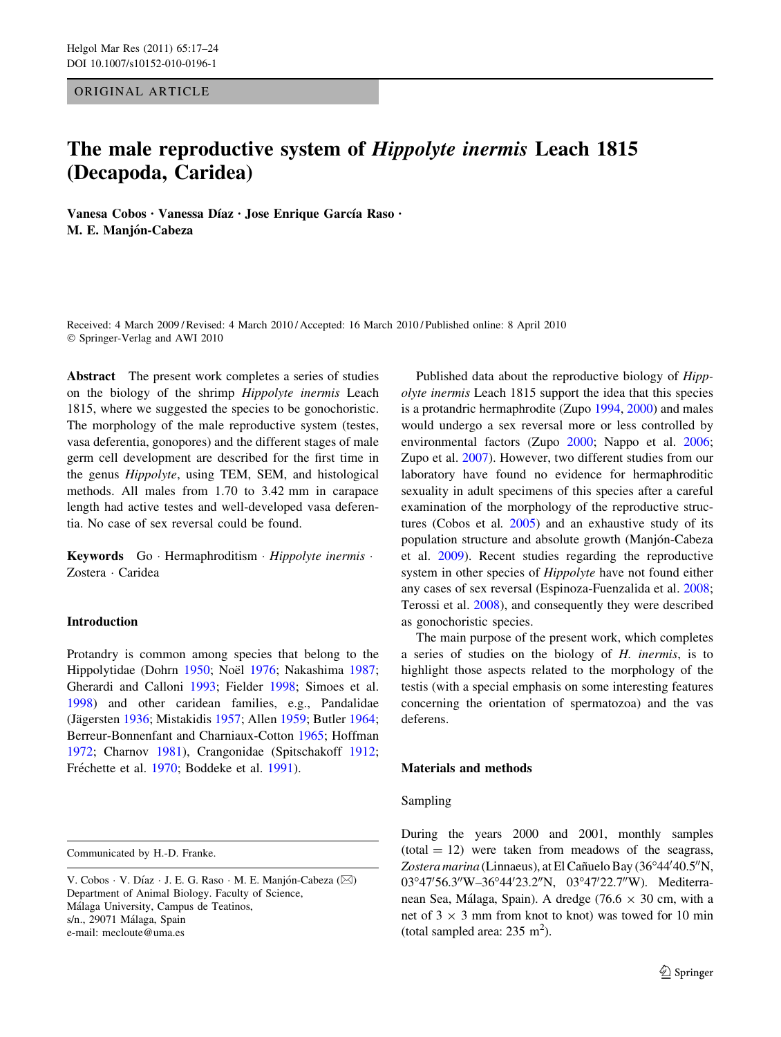ORIGINAL ARTICLE

# The male reproductive system of Hippolyte inermis Leach 1815 (Decapoda, Caridea)

Vanesa Cobos · Vanessa Díaz · Jose Enrique García Raso · M. E. Manjón-Cabeza

Received: 4 March 2009 / Revised: 4 March 2010 / Accepted: 16 March 2010 / Published online: 8 April 2010 © Springer-Verlag and AWI 2010

Abstract The present work completes a series of studies on the biology of the shrimp Hippolyte inermis Leach 1815, where we suggested the species to be gonochoristic. The morphology of the male reproductive system (testes, vasa deferentia, gonopores) and the different stages of male germ cell development are described for the first time in the genus Hippolyte, using TEM, SEM, and histological methods. All males from 1.70 to 3.42 mm in carapace length had active testes and well-developed vasa deferentia. No case of sex reversal could be found.

Keywords Go · Hermaphroditism · Hippolyte inermis · Zostera - Caridea

# Introduction

Protandry is common among species that belong to the Hippolytidae (Dohrn [1950](#page-6-0); Noël [1976](#page-6-0); Nakashima [1987](#page-6-0); Gherardi and Calloni [1993;](#page-6-0) Fielder [1998;](#page-6-0) Simoes et al. [1998\)](#page-6-0) and other caridean families, e.g., Pandalidae (Jägersten [1936;](#page-6-0) Mistakidis [1957;](#page-6-0) Allen [1959;](#page-5-0) Butler [1964](#page-5-0); Berreur-Bonnenfant and Charniaux-Cotton [1965](#page-5-0); Hoffman [1972;](#page-6-0) Charnov [1981](#page-6-0)), Crangonidae (Spitschakoff [1912](#page-6-0); Fréchette et al. [1970](#page-6-0); Boddeke et al. [1991\)](#page-5-0).

Communicated by H.-D. Franke.

Published data about the reproductive biology of Hippolyte inermis Leach 1815 support the idea that this species is a protandric hermaphrodite (Zupo [1994](#page-7-0), [2000](#page-7-0)) and males would undergo a sex reversal more or less controlled by environmental factors (Zupo [2000;](#page-7-0) Nappo et al. [2006](#page-6-0); Zupo et al. [2007\)](#page-7-0). However, two different studies from our laboratory have found no evidence for hermaphroditic sexuality in adult specimens of this species after a careful examination of the morphology of the reproductive structures (Cobos et al. [2005\)](#page-6-0) and an exhaustive study of its population structure and absolute growth (Manjón-Cabeza et al. [2009](#page-6-0)). Recent studies regarding the reproductive system in other species of Hippolyte have not found either any cases of sex reversal (Espinoza-Fuenzalida et al. [2008](#page-6-0); Terossi et al. [2008](#page-6-0)), and consequently they were described as gonochoristic species.

The main purpose of the present work, which completes a series of studies on the biology of H. inermis, is to highlight those aspects related to the morphology of the testis (with a special emphasis on some interesting features concerning the orientation of spermatozoa) and the vas deferens.

# Materials and methods

#### Sampling

During the years 2000 and 2001, monthly samples  $(total = 12)$  were taken from meadows of the seagrass, Zostera marina (Linnaeus), at El Cañuelo Bay (36°44'40.5"N, 03°47'56.3"W-36°44'23.2"N, 03°47'22.7"W). Mediterranean Sea, Málaga, Spain). A dredge (76.6  $\times$  30 cm, with a net of  $3 \times 3$  mm from knot to knot) was towed for 10 min (total sampled area:  $235 \text{ m}^2$ ).

V. Cobos · V. Díaz · J. E. G. Raso · M. E. Manjón-Cabeza (⊠) Department of Animal Biology. Faculty of Science, Málaga University, Campus de Teatinos, s/n., 29071 Málaga, Spain e-mail: mecloute@uma.es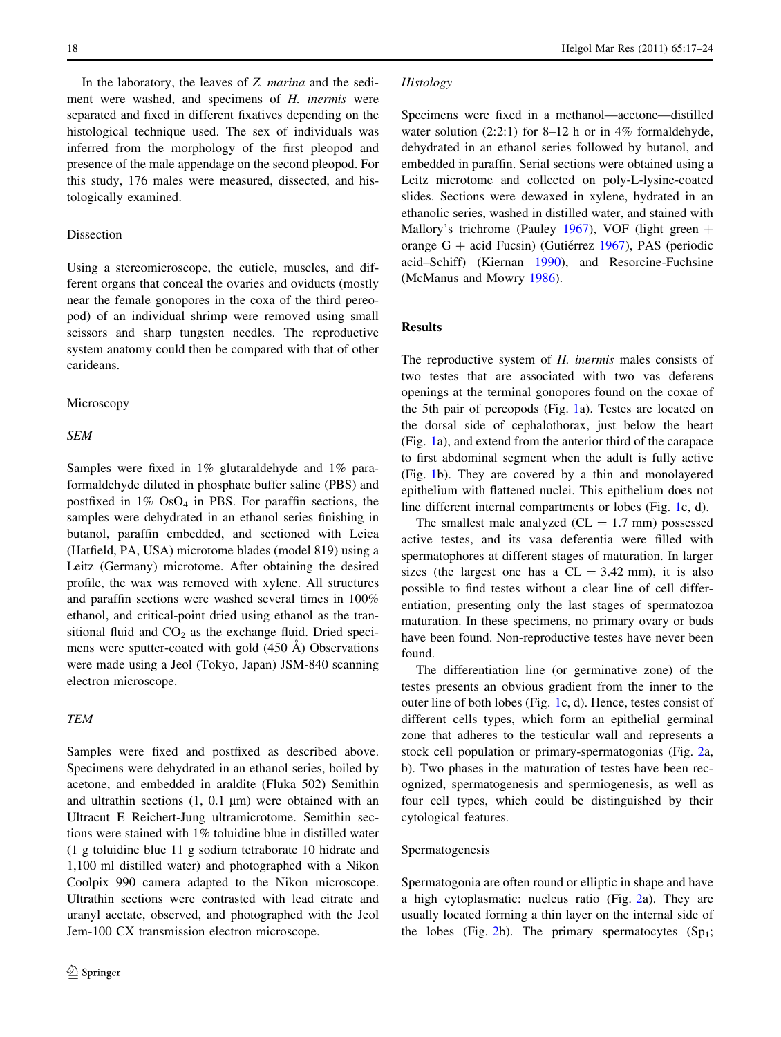In the laboratory, the leaves of Z. *marina* and the sediment were washed, and specimens of H. inermis were separated and fixed in different fixatives depending on the histological technique used. The sex of individuals was inferred from the morphology of the first pleopod and presence of the male appendage on the second pleopod. For this study, 176 males were measured, dissected, and histologically examined.

## Dissection

Using a stereomicroscope, the cuticle, muscles, and different organs that conceal the ovaries and oviducts (mostly near the female gonopores in the coxa of the third pereopod) of an individual shrimp were removed using small scissors and sharp tungsten needles. The reproductive system anatomy could then be compared with that of other carideans.

#### Microscopy

## SEM

Samples were fixed in 1% glutaraldehyde and 1% paraformaldehyde diluted in phosphate buffer saline (PBS) and postfixed in  $1\%$  OsO<sub>4</sub> in PBS. For paraffin sections, the samples were dehydrated in an ethanol series finishing in butanol, paraffin embedded, and sectioned with Leica (Hatfield, PA, USA) microtome blades (model 819) using a Leitz (Germany) microtome. After obtaining the desired profile, the wax was removed with xylene. All structures and paraffin sections were washed several times in 100% ethanol, and critical-point dried using ethanol as the transitional fluid and  $CO<sub>2</sub>$  as the exchange fluid. Dried specimens were sputter-coated with gold  $(450 \text{ Å})$  Observations were made using a Jeol (Tokyo, Japan) JSM-840 scanning electron microscope.

# TEM

Samples were fixed and postfixed as described above. Specimens were dehydrated in an ethanol series, boiled by acetone, and embedded in araldite (Fluka 502) Semithin and ultrathin sections  $(1, 0.1 \mu m)$  were obtained with an Ultracut E Reichert-Jung ultramicrotome. Semithin sections were stained with 1% toluidine blue in distilled water (1 g toluidine blue 11 g sodium tetraborate 10 hidrate and 1,100 ml distilled water) and photographed with a Nikon Coolpix 990 camera adapted to the Nikon microscope. Ultrathin sections were contrasted with lead citrate and uranyl acetate, observed, and photographed with the Jeol Jem-100 CX transmission electron microscope.

## Histology

Specimens were fixed in a methanol—acetone—distilled water solution  $(2:2:1)$  for  $8-12$  h or in 4% formaldehyde, dehydrated in an ethanol series followed by butanol, and embedded in paraffin. Serial sections were obtained using a Leitz microtome and collected on poly-L-lysine-coated slides. Sections were dewaxed in xylene, hydrated in an ethanolic series, washed in distilled water, and stained with Mallory's trichrome (Pauley [1967](#page-6-0)), VOF (light green  $+$ orange  $G$  + acid Fucsin) (Gutiérrez [1967\)](#page-6-0), PAS (periodic acid–Schiff) (Kiernan [1990\)](#page-6-0), and Resorcine-Fuchsine (McManus and Mowry [1986\)](#page-6-0).

# Results

The reproductive system of H. inermis males consists of two testes that are associated with two vas deferens openings at the terminal gonopores found on the coxae of the 5th pair of pereopods (Fig. [1](#page-2-0)a). Testes are located on the dorsal side of cephalothorax, just below the heart (Fig. [1a](#page-2-0)), and extend from the anterior third of the carapace to first abdominal segment when the adult is fully active (Fig. [1b](#page-2-0)). They are covered by a thin and monolayered epithelium with flattened nuclei. This epithelium does not line different internal compartments or lobes (Fig. [1c](#page-2-0), d).

The smallest male analyzed  $(CL = 1.7$  mm) possessed active testes, and its vasa deferentia were filled with spermatophores at different stages of maturation. In larger sizes (the largest one has a  $CL = 3.42$  mm), it is also possible to find testes without a clear line of cell differentiation, presenting only the last stages of spermatozoa maturation. In these specimens, no primary ovary or buds have been found. Non-reproductive testes have never been found.

The differentiation line (or germinative zone) of the testes presents an obvious gradient from the inner to the outer line of both lobes (Fig. [1](#page-2-0)c, d). Hence, testes consist of different cells types, which form an epithelial germinal zone that adheres to the testicular wall and represents a stock cell population or primary-spermatogonias (Fig. [2](#page-3-0)a, b). Two phases in the maturation of testes have been recognized, spermatogenesis and spermiogenesis, as well as four cell types, which could be distinguished by their cytological features.

# Spermatogenesis

Spermatogonia are often round or elliptic in shape and have a high cytoplasmatic: nucleus ratio (Fig. [2](#page-3-0)a). They are usually located forming a thin layer on the internal side of the lobes (Fig. [2b](#page-3-0)). The primary spermatocytes  $(Sp_1;$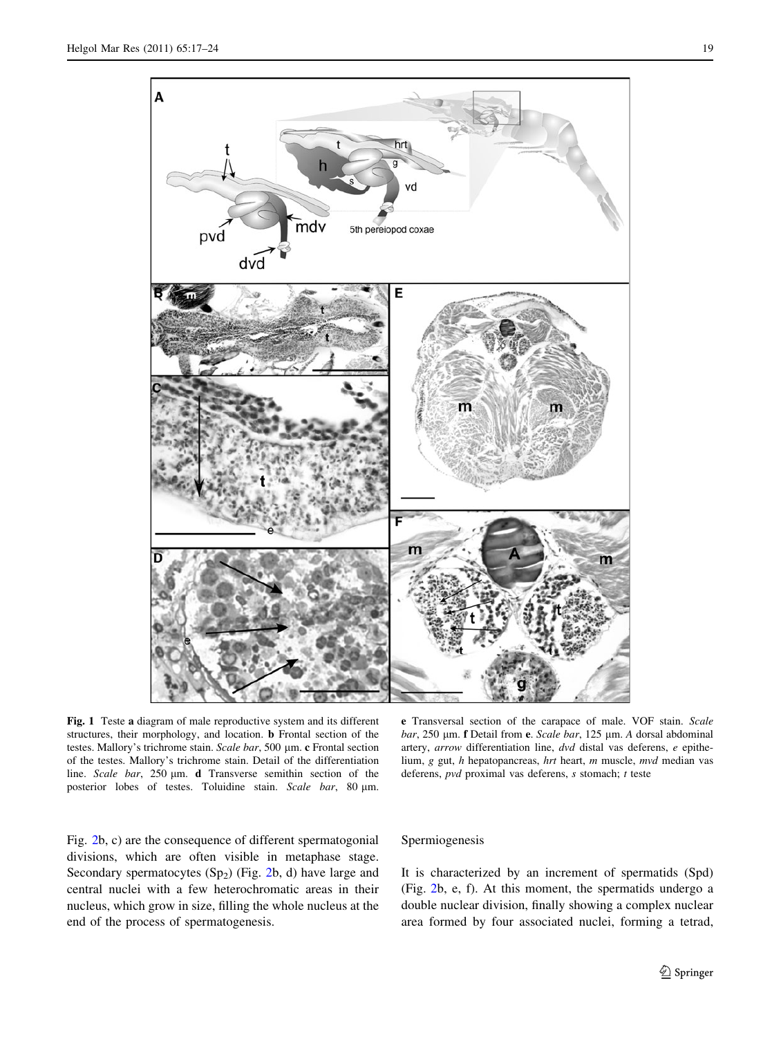<span id="page-2-0"></span>

Fig. 1 Teste a diagram of male reproductive system and its different structures, their morphology, and location. b Frontal section of the testes. Mallory's trichrome stain. Scale bar, 500 µm. c Frontal section of the testes. Mallory's trichrome stain. Detail of the differentiation line. Scale bar, 250 µm. d Transverse semithin section of the posterior lobes of testes. Toluidine stain. Scale bar, 80 µm.

e Transversal section of the carapace of male. VOF stain. Scale bar, 250 µm. f Detail from e. Scale bar, 125 µm. A dorsal abdominal artery, arrow differentiation line, dvd distal vas deferens, e epithelium, g gut, h hepatopancreas, hrt heart, m muscle, mvd median vas deferens, pvd proximal vas deferens, s stomach; t teste

Fig. [2](#page-3-0)b, c) are the consequence of different spermatogonial divisions, which are often visible in metaphase stage. Secondary spermatocytes  $(Sp_2)$  (Fig. [2b](#page-3-0), d) have large and central nuclei with a few heterochromatic areas in their nucleus, which grow in size, filling the whole nucleus at the end of the process of spermatogenesis.

#### Spermiogenesis

It is characterized by an increment of spermatids (Spd) (Fig. [2b](#page-3-0), e, f). At this moment, the spermatids undergo a double nuclear division, finally showing a complex nuclear area formed by four associated nuclei, forming a tetrad,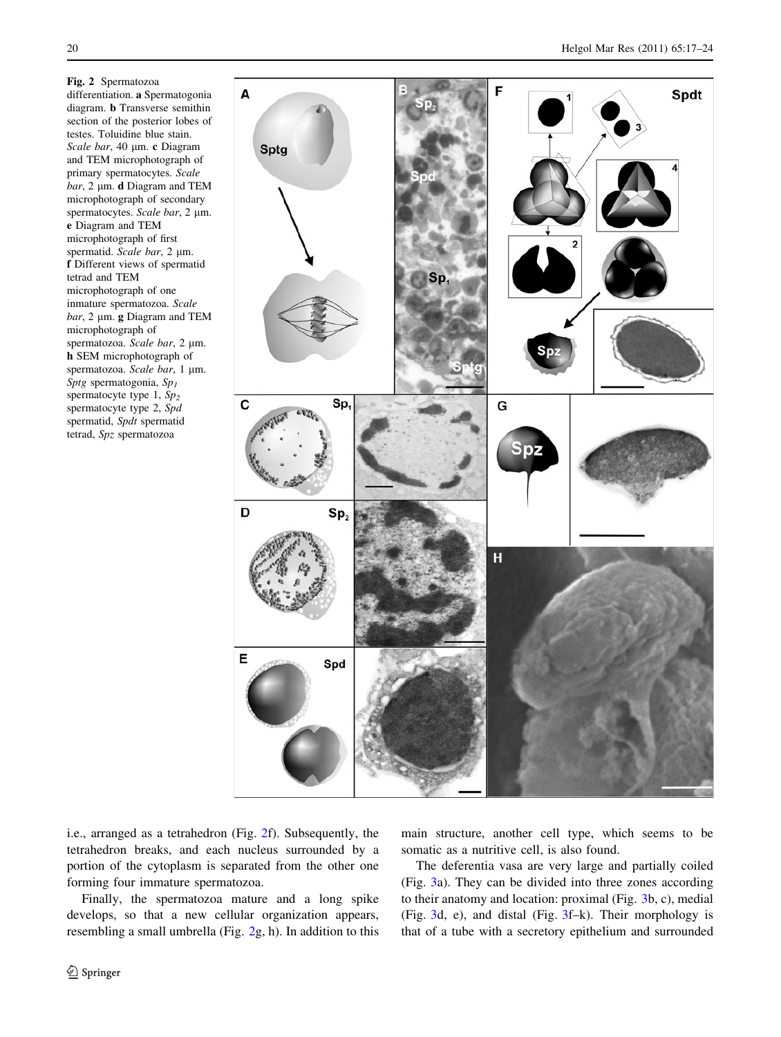<span id="page-3-0"></span>Fig. 2 Spermatozoa differentiation. a Spermatogonia diagram. b Transverse semithin section of the posterior lobes of testes. Toluidine blue stain. Scale bar, 40 µm. c Diagram and TEM microphotograph of primary spermatocytes. Scale  $bar$ , 2  $\mu$ m. **d** Diagram and TEM microphotograph of secondary spermatocytes. Scale bar, 2 µm. e Diagram and TEM microphotograph of first spermatid. Scale bar, 2 µm. f Different views of spermatid tetrad and TEM microphotograph of one inmature spermatozoa. Scale  $bar$ , 2 µm. g Diagram and TEM microphotograph of spermatozoa. Scale bar, 2 µm. h SEM microphotograph of spermatozoa. Scale bar, 1 µm. Sptg spermatogonia,  $Sp<sub>I</sub>$ spermatocyte type 1,  $Sp<sub>2</sub>$ spermatocyte type 2, Spd spermatid, Spdt spermatid tetrad, Spz spermatozoa



i.e., arranged as a tetrahedron (Fig. 2f). Subsequently, the tetrahedron breaks, and each nucleus surrounded by a portion of the cytoplasm is separated from the other one forming four immature spermatozoa.

Finally, the spermatozoa mature and a long spike develops, so that a new cellular organization appears, resembling a small umbrella (Fig. 2g, h). In addition to this main structure, another cell type, which seems to be somatic as a nutritive cell, is also found.

The deferentia vasa are very large and partially coiled (Fig. [3a](#page-4-0)). They can be divided into three zones according to their anatomy and location: proximal (Fig. [3](#page-4-0)b, c), medial (Fig. [3d](#page-4-0), e), and distal (Fig. [3f](#page-4-0)–k). Their morphology is that of a tube with a secretory epithelium and surrounded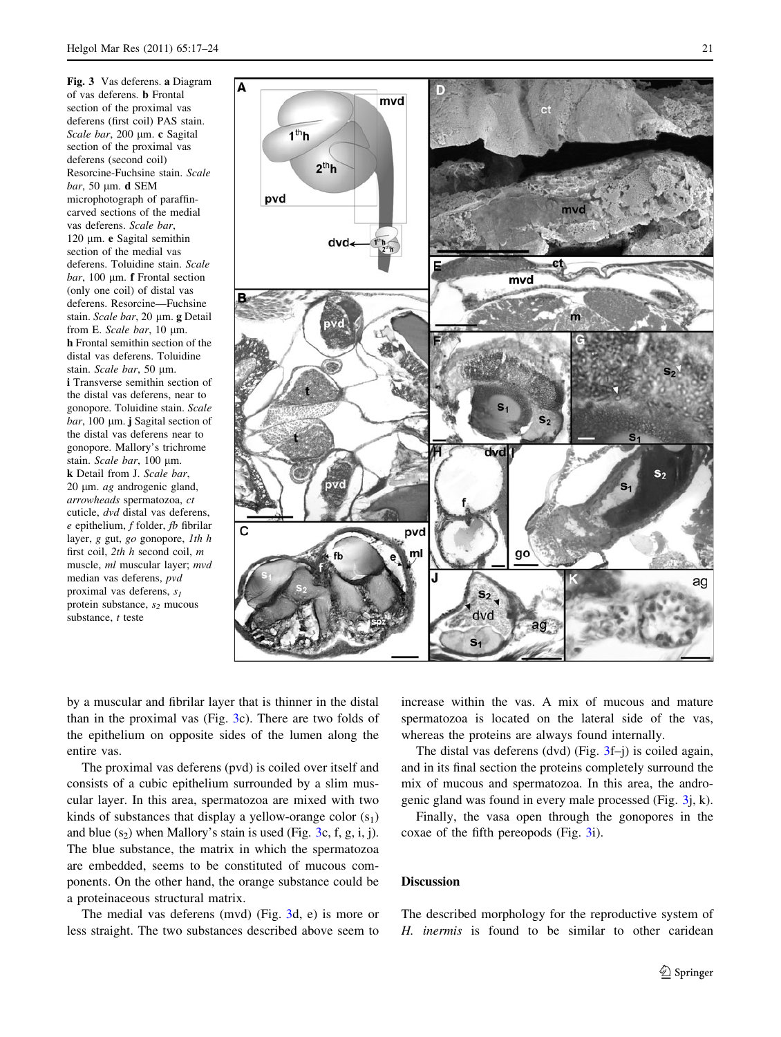<span id="page-4-0"></span>Fig. 3 Vas deferens. a Diagram of vas deferens. b Frontal section of the proximal vas deferens (first coil) PAS stain. Scale bar, 200 µm. c Sagital section of the proximal vas deferens (second coil) Resorcine-Fuchsine stain. Scale  $bar$ , 50  $\mu$ m. d SEM microphotograph of paraffincarved sections of the medial vas deferens. Scale bar, 120 um. e Sagital semithin section of the medial vas deferens. Toluidine stain. Scale  $bar$ , 100  $\mu$ m. **f** Frontal section (only one coil) of distal vas deferens. Resorcine—Fuchsine stain. Scale bar, 20 µm. g Detail from E. Scale bar, 10 µm. h Frontal semithin section of the distal vas deferens. Toluidine stain. Scale bar, 50 µm. i Transverse semithin section of the distal vas deferens, near to gonopore. Toluidine stain. Scale  $bar$ , 100  $\mu$ m. j Sagital section of the distal vas deferens near to gonopore. Mallory's trichrome stain. Scale bar, 100 µm. k Detail from J. Scale bar,  $20 \mu m$ . ag androgenic gland, arrowheads spermatozoa, ct cuticle, dvd distal vas deferens,  $e$  epithelium,  $f$  folder,  $fb$  fibrilar layer,  $g$  gut,  $g$ <sup>o</sup> gonopore, *lth*  $h$ first coil, 2th h second coil, m muscle, ml muscular layer; mvd median vas deferens, pvd proximal vas deferens,  $s_1$ protein substance,  $s_2$  mucous substance, t teste



by a muscular and fibrilar layer that is thinner in the distal than in the proximal vas (Fig. 3c). There are two folds of the epithelium on opposite sides of the lumen along the entire vas.

The proximal vas deferens (pvd) is coiled over itself and consists of a cubic epithelium surrounded by a slim muscular layer. In this area, spermatozoa are mixed with two kinds of substances that display a yellow-orange color  $(s_1)$ and blue  $(s_2)$  when Mallory's stain is used (Fig. 3c, f, g, i, j). The blue substance, the matrix in which the spermatozoa are embedded, seems to be constituted of mucous components. On the other hand, the orange substance could be a proteinaceous structural matrix.

The medial vas deferens (mvd) (Fig. 3d, e) is more or less straight. The two substances described above seem to increase within the vas. A mix of mucous and mature spermatozoa is located on the lateral side of the vas, whereas the proteins are always found internally.

The distal vas deferens (dvd) (Fig. 3f–j) is coiled again, and in its final section the proteins completely surround the mix of mucous and spermatozoa. In this area, the androgenic gland was found in every male processed (Fig. 3j, k).

Finally, the vasa open through the gonopores in the coxae of the fifth pereopods (Fig. 3i).

# Discussion

The described morphology for the reproductive system of H. inermis is found to be similar to other caridean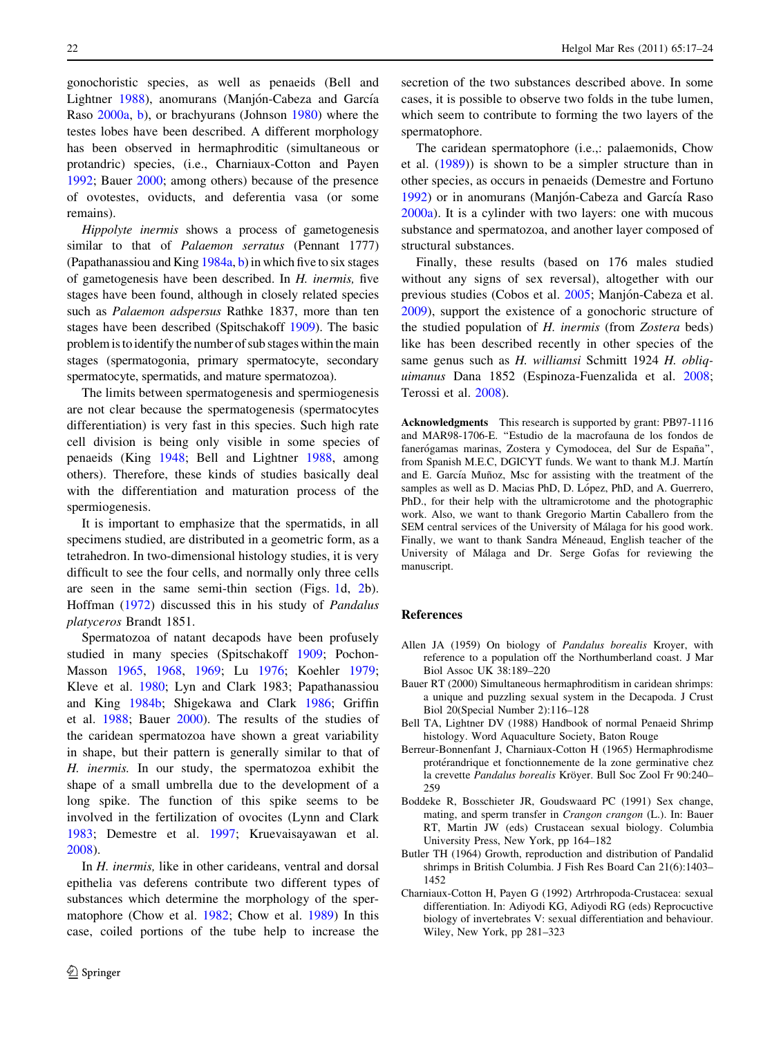<span id="page-5-0"></span>gonochoristic species, as well as penaeids (Bell and Lightner 1988), anomurans (Manjón-Cabeza and García Raso [2000a,](#page-6-0) [b\)](#page-6-0), or brachyurans (Johnson [1980](#page-6-0)) where the testes lobes have been described. A different morphology has been observed in hermaphroditic (simultaneous or protandric) species, (i.e., Charniaux-Cotton and Payen 1992; Bauer 2000; among others) because of the presence of ovotestes, oviducts, and deferentia vasa (or some remains).

Hippolyte inermis shows a process of gametogenesis similar to that of *Palaemon serratus* (Pennant 1777) (Papathanassiou and King  $1984a$ , [b](#page-6-0)) in which five to six stages of gametogenesis have been described. In H. inermis, five stages have been found, although in closely related species such as Palaemon adspersus Rathke 1837, more than ten stages have been described (Spitschakoff [1909](#page-6-0)). The basic problem is to identify the number of sub stages within the main stages (spermatogonia, primary spermatocyte, secondary spermatocyte, spermatids, and mature spermatozoa).

The limits between spermatogenesis and spermiogenesis are not clear because the spermatogenesis (spermatocytes differentiation) is very fast in this species. Such high rate cell division is being only visible in some species of penaeids (King [1948](#page-6-0); Bell and Lightner 1988, among others). Therefore, these kinds of studies basically deal with the differentiation and maturation process of the spermiogenesis.

It is important to emphasize that the spermatids, in all specimens studied, are distributed in a geometric form, as a tetrahedron. In two-dimensional histology studies, it is very difficult to see the four cells, and normally only three cells are seen in the same semi-thin section (Figs. [1d](#page-2-0), [2](#page-3-0)b). Hoffman ([1972\)](#page-6-0) discussed this in his study of Pandalus platyceros Brandt 1851.

Spermatozoa of natant decapods have been profusely studied in many species (Spitschakoff [1909](#page-6-0); Pochon-Masson [1965](#page-6-0), [1968,](#page-6-0) [1969;](#page-6-0) Lu [1976;](#page-6-0) Koehler [1979](#page-6-0); Kleve et al. [1980;](#page-6-0) Lyn and Clark 1983; Papathanassiou and King [1984b](#page-6-0); Shigekawa and Clark [1986;](#page-6-0) Griffin et al. [1988](#page-6-0); Bauer 2000). The results of the studies of the caridean spermatozoa have shown a great variability in shape, but their pattern is generally similar to that of H. inermis. In our study, the spermatozoa exhibit the shape of a small umbrella due to the development of a long spike. The function of this spike seems to be involved in the fertilization of ovocites (Lynn and Clark [1983;](#page-6-0) Demestre et al. [1997;](#page-6-0) Kruevaisayawan et al. [2008\)](#page-6-0).

In H. inermis, like in other carideans, ventral and dorsal epithelia vas deferens contribute two different types of substances which determine the morphology of the spermatophore (Chow et al. [1982;](#page-6-0) Chow et al. [1989\)](#page-6-0) In this case, coiled portions of the tube help to increase the secretion of the two substances described above. In some cases, it is possible to observe two folds in the tube lumen, which seem to contribute to forming the two layers of the spermatophore.

The caridean spermatophore (i.e.,: palaemonids, Chow et al. ([1989\)](#page-6-0)) is shown to be a simpler structure than in other species, as occurs in penaeids (Demestre and Fortuno [1992](#page-6-0)) or in anomurans (Manjón-Cabeza and García Raso [2000a\)](#page-6-0). It is a cylinder with two layers: one with mucous substance and spermatozoa, and another layer composed of structural substances.

Finally, these results (based on 176 males studied without any signs of sex reversal), altogether with our previous studies (Cobos et al. [2005;](#page-6-0) Manjón-Cabeza et al. [2009](#page-6-0)), support the existence of a gonochoric structure of the studied population of H. inermis (from Zostera beds) like has been described recently in other species of the same genus such as H. williamsi Schmitt 1924 H. obliquimanus Dana 1852 (Espinoza-Fuenzalida et al. [2008](#page-6-0); Terossi et al. [2008\)](#page-6-0).

Acknowledgments This research is supported by grant: PB97-1116 and MAR98-1706-E. ''Estudio de la macrofauna de los fondos de fanerógamas marinas, Zostera y Cymodocea, del Sur de España", from Spanish M.E.C, DGICYT funds. We want to thank M.J. Martín and E. García Muñoz, Msc for assisting with the treatment of the samples as well as D. Macias PhD, D. López, PhD, and A. Guerrero, PhD., for their help with the ultramicrotome and the photographic work. Also, we want to thank Gregorio Martin Caballero from the SEM central services of the University of Málaga for his good work. Finally, we want to thank Sandra Méneaud, English teacher of the University of Málaga and Dr. Serge Gofas for reviewing the manuscript.

## References

- Allen JA (1959) On biology of Pandalus borealis Kroyer, with reference to a population off the Northumberland coast. J Mar Biol Assoc UK 38:189–220
- Bauer RT (2000) Simultaneous hermaphroditism in caridean shrimps: a unique and puzzling sexual system in the Decapoda. J Crust Biol 20(Special Number 2):116–128
- Bell TA, Lightner DV (1988) Handbook of normal Penaeid Shrimp histology. Word Aquaculture Society, Baton Rouge
- Berreur-Bonnenfant J, Charniaux-Cotton H (1965) Hermaphrodisme protérandrique et fonctionnemente de la zone germinative chez la crevette Pandalus borealis Kröyer. Bull Soc Zool Fr 90:240-259
- Boddeke R, Bosschieter JR, Goudswaard PC (1991) Sex change, mating, and sperm transfer in Crangon crangon (L.). In: Bauer RT, Martin JW (eds) Crustacean sexual biology. Columbia University Press, New York, pp 164–182
- Butler TH (1964) Growth, reproduction and distribution of Pandalid shrimps in British Columbia. J Fish Res Board Can 21(6):1403– 1452
- Charniaux-Cotton H, Payen G (1992) Artrhropoda-Crustacea: sexual differentiation. In: Adiyodi KG, Adiyodi RG (eds) Reprocuctive biology of invertebrates V: sexual differentiation and behaviour. Wiley, New York, pp 281–323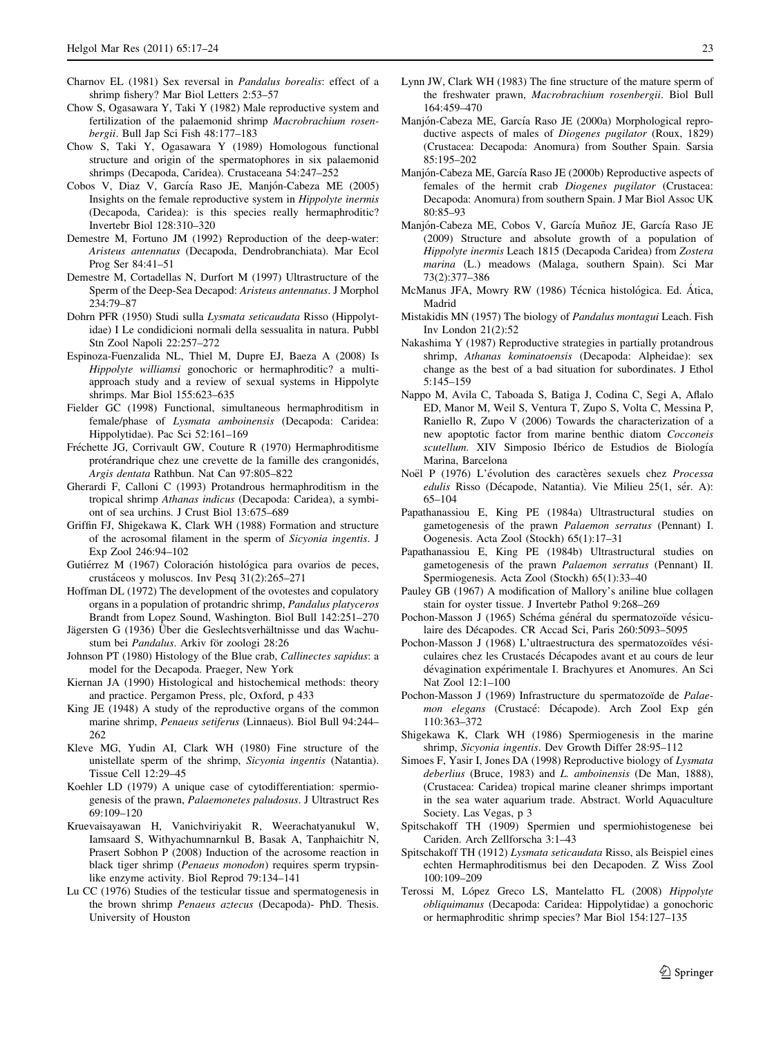- <span id="page-6-0"></span>Charnov EL (1981) Sex reversal in Pandalus borealis: effect of a shrimp fishery? Mar Biol Letters 2:53–57
- Chow S, Ogasawara Y, Taki Y (1982) Male reproductive system and fertilization of the palaemonid shrimp Macrobrachium rosenbergii. Bull Jap Sci Fish 48:177–183
- Chow S, Taki Y, Ogasawara Y (1989) Homologous functional structure and origin of the spermatophores in six palaemonid shrimps (Decapoda, Caridea). Crustaceana 54:247–252
- Cobos V, Diaz V, García Raso JE, Manjón-Cabeza ME (2005) Insights on the female reproductive system in Hippolyte inermis (Decapoda, Caridea): is this species really hermaphroditic? Invertebr Biol 128:310–320
- Demestre M, Fortuno JM (1992) Reproduction of the deep-water: Aristeus antennatus (Decapoda, Dendrobranchiata). Mar Ecol Prog Ser 84:41–51
- Demestre M, Cortadellas N, Durfort M (1997) Ultrastructure of the Sperm of the Deep-Sea Decapod: Aristeus antennatus. J Morphol 234:79–87
- Dohrn PFR (1950) Studi sulla Lysmata seticaudata Risso (Hippolytidae) I Le condidicioni normali della sessualita in natura. Pubbl Stn Zool Napoli 22:257–272
- Espinoza-Fuenzalida NL, Thiel M, Dupre EJ, Baeza A (2008) Is Hippolyte williamsi gonochoric or hermaphroditic? a multiapproach study and a review of sexual systems in Hippolyte shrimps. Mar Biol 155:623–635
- Fielder GC (1998) Functional, simultaneous hermaphroditism in female/phase of Lysmata amboinensis (Decapoda: Caridea: Hippolytidae). Pac Sci 52:161–169
- Fréchette JG, Corrivault GW, Couture R (1970) Hermaphroditisme protérandrique chez une crevette de la famille des crangonidés, Argis dentata Rathbun. Nat Can 97:805–822
- Gherardi F, Calloni C (1993) Protandrous hermaphroditism in the tropical shrimp Athanas indicus (Decapoda: Caridea), a symbiont of sea urchins. J Crust Biol 13:675–689
- Griffin FJ, Shigekawa K, Clark WH (1988) Formation and structure of the acrosomal filament in the sperm of Sicyonia ingentis. J Exp Zool 246:94–102
- Gutiérrez M (1967) Coloración histológica para ovarios de peces, crusta´ceos y moluscos. Inv Pesq 31(2):265–271
- Hoffman DL (1972) The development of the ovotestes and copulatory organs in a population of protandric shrimp, Pandalus platyceros Brandt from Lopez Sound, Washington. Biol Bull 142:251–270
- Jägersten G (1936) Über die Geslechtsverhältnisse und das Wachustum bei Pandalus. Arkiv för zoologi 28:26
- Johnson PT (1980) Histology of the Blue crab, Callinectes sapidus: a model for the Decapoda. Praeger, New York
- Kiernan JA (1990) Histological and histochemical methods: theory and practice. Pergamon Press, plc, Oxford, p 433
- King JE (1948) A study of the reproductive organs of the common marine shrimp, Penaeus setiferus (Linnaeus). Biol Bull 94:244– 262
- Kleve MG, Yudin AI, Clark WH (1980) Fine structure of the unistellate sperm of the shrimp, Sicyonia ingentis (Natantia). Tissue Cell 12:29–45
- Koehler LD (1979) A unique case of cytodifferentiation: spermiogenesis of the prawn, Palaemonetes paludosus. J Ultrastruct Res 69:109–120
- Kruevaisayawan H, Vanichviriyakit R, Weerachatyanukul W, Iamsaard S, Withyachumnarnkul B, Basak A, Tanphaichitr N, Prasert Sobhon P (2008) Induction of the acrosome reaction in black tiger shrimp (Penaeus monodon) requires sperm trypsinlike enzyme activity. Biol Reprod 79:134–141
- Lu CC (1976) Studies of the testicular tissue and spermatogenesis in the brown shrimp Penaeus aztecus (Decapoda)- PhD. Thesis. University of Houston
- Lynn JW, Clark WH (1983) The fine structure of the mature sperm of the freshwater prawn, Macrobrachium rosenbergii. Biol Bull 164:459–470
- Manjón-Cabeza ME, García Raso JE (2000a) Morphological reproductive aspects of males of Diogenes pugilator (Roux, 1829) (Crustacea: Decapoda: Anomura) from Souther Spain. Sarsia 85:195–202
- Manjón-Cabeza ME, García Raso JE (2000b) Reproductive aspects of females of the hermit crab Diogenes pugilator (Crustacea: Decapoda: Anomura) from southern Spain. J Mar Biol Assoc UK 80:85–93
- Manjón-Cabeza ME, Cobos V, García Muñoz JE, García Raso JE (2009) Structure and absolute growth of a population of Hippolyte inermis Leach 1815 (Decapoda Caridea) from Zostera marina (L.) meadows (Malaga, southern Spain). Sci Mar 73(2):377–386
- McManus JFA, Mowry RW (1986) Técnica histológica. Ed. Ática, Madrid
- Mistakidis MN (1957) The biology of Pandalus montagui Leach. Fish Inv London 21(2):52
- Nakashima Y (1987) Reproductive strategies in partially protandrous shrimp, Athanas kominatoensis (Decapoda: Alpheidae): sex change as the best of a bad situation for subordinates. J Ethol 5:145–159
- Nappo M, Avila C, Taboada S, Batiga J, Codina C, Segi A, Aflalo ED, Manor M, Weil S, Ventura T, Zupo S, Volta C, Messina P, Raniello R, Zupo V (2006) Towards the characterization of a new apoptotic factor from marine benthic diatom Cocconeis scutellum. XIV Simposio Ibérico de Estudios de Biología Marina, Barcelona
- Noël P (1976) L'évolution des caractères sexuels chez Processa edulis Risso (Décapode, Natantia). Vie Milieu 25(1, sér. A): 65–104
- Papathanassiou E, King PE (1984a) Ultrastructural studies on gametogenesis of the prawn Palaemon serratus (Pennant) I. Oogenesis. Acta Zool (Stockh) 65(1):17–31
- Papathanassiou E, King PE (1984b) Ultrastructural studies on gametogenesis of the prawn Palaemon serratus (Pennant) II. Spermiogenesis. Acta Zool (Stockh) 65(1):33–40
- Pauley GB (1967) A modification of Mallory's aniline blue collagen stain for oyster tissue. J Invertebr Pathol 9:268–269
- Pochon-Masson J (1965) Schéma général du spermatozoïde vésiculaire des Décapodes. CR Accad Sci, Paris 260:5093-5095
- Pochon-Masson J (1968) L'ultraestructura des spermatozoïdes vésiculaires chez les Crustacés Décapodes avant et au cours de leur dévagination expérimentale I. Brachyures et Anomures. An Sci Nat Zool 12:1–100
- Pochon-Masson J (1969) Infrastructure du spermatozoïde de Palaemon elegans (Crustacé: Décapode). Arch Zool Exp gén 110:363–372
- Shigekawa K, Clark WH (1986) Spermiogenesis in the marine shrimp, Sicyonia ingentis. Dev Growth Differ 28:95–112
- Simoes F, Yasir I, Jones DA (1998) Reproductive biology of Lysmata deberlius (Bruce, 1983) and L. amboinensis (De Man, 1888), (Crustacea: Caridea) tropical marine cleaner shrimps important in the sea water aquarium trade. Abstract. World Aquaculture Society. Las Vegas, p 3
- Spitschakoff TH (1909) Spermien und spermiohistogenese bei Cariden. Arch Zellforscha 3:1–43
- Spitschakoff TH (1912) Lysmata seticaudata Risso, als Beispiel eines echten Hermaphroditismus bei den Decapoden. Z Wiss Zool 100:109–209
- Terossi M, López Greco LS, Mantelatto FL (2008) Hippolyte obliquimanus (Decapoda: Caridea: Hippolytidae) a gonochoric or hermaphroditic shrimp species? Mar Biol 154:127–135